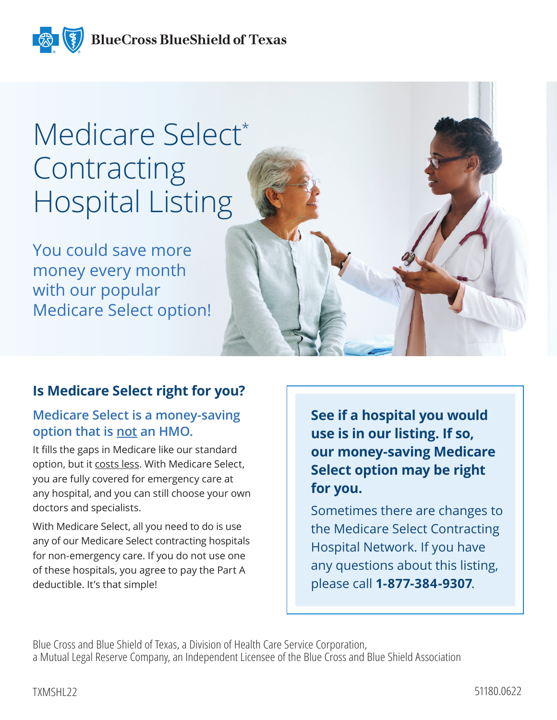**BlueCross BlueShield of Texas** 

# Medicare Select\* **Contracting** Hospital Listing

You could save more money every month with our popular Medicare Select option!

# **Is Medicare Select right for you?**

# **Medicare Select is a money-saving option that is not an HMO.**

It fills the gaps in Medicare like our standard option, but it costs less. With Medicare Select, you are fully covered for emergency care at any hospital, and you can still choose your own doctors and specialists.

With Medicare Select, all you need to do is use any of our Medicare Select contracting hospitals for non-emergency care. If you do not use one of these hospitals, you agree to pay the Part A deductible. It's that simple!

**See if a hospital you would use is in our listing. If so, our money-saving Medicare Select option may be right for you.**

Sometimes there are changes to the Medicare Select Contracting Hospital Network. If you have any questions about this listing, please call **1-877-384-9307**.

Blue Cross and Blue Shield of Texas, a Division of Health Care Service Corporation, a Mutual Legal Reserve Company, an Independent Licensee of the Blue Cross and Blue Shield Association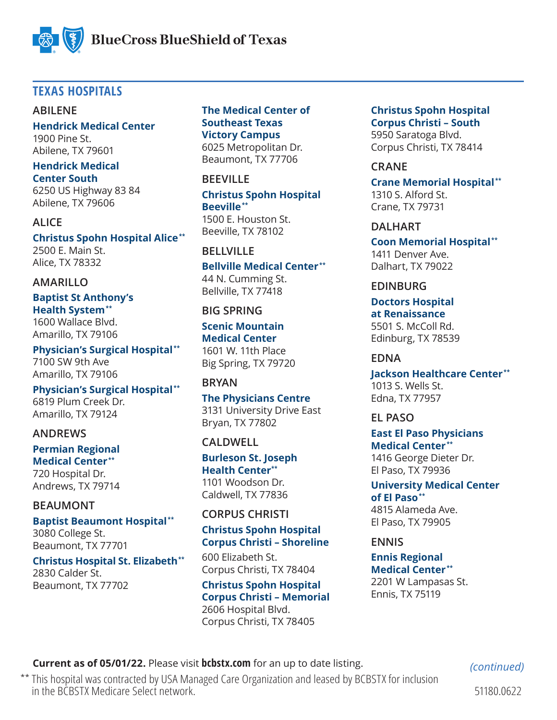

# **TEXAS HOSPITALS**

### **ABILENE**

**Hendrick Medical Center** 1900 Pine St. Abilene, TX 79601

#### **Hendrick Medical Center South**

6250 US Highway 83 84 Abilene, TX 79606

**ALICE Christus Spohn Hospital Alice \*\*** 2500 E. Main St. Alice, TX 78332

### **AMARILLO**

#### **Baptist St Anthony's Health System \*\*** 1600 Wallace Blvd.

Amarillo, TX 79106

**Physician's Surgical Hospital \*\*** 7100 SW 9th Ave Amarillo, TX 79106

**Physician's Surgical Hospital \*\*** 6819 Plum Creek Dr. Amarillo, TX 79124

# **ANDREWS**

**Permian Regional** 

**Medical Center \*\*** 720 Hospital Dr. Andrews, TX 79714

# **BEAUMONT**

**Baptist Beaumont Hospital \*\*** 3080 College St. Beaumont, TX 77701

### **Christus Hospital St. Elizabeth \*\***

2830 Calder St. Beaumont, TX 77702

### **The Medical Center of Southeast Texas Victory Campus**

6025 Metropolitan Dr. Beaumont, TX 77706

### **BEEVILLE**

**Christus Spohn Hospital Beeville \*\***

1500 E. Houston St. Beeville, TX 78102

# **BELLVILLE**

**Bellville Medical Center \*\*** 44 N. Cumming St. Bellville, TX 77418

### **BIG SPRING**

**Scenic Mountain Medical Center** 1601 W. 11th Place Big Spring, TX 79720

# **BRYAN**

**The Physicians Centre**  3131 University Drive East Bryan, TX 77802

# **CALDWELL**

**Burleson St. Joseph Health Center\*\*** 1101 Woodson Dr. Caldwell, TX 77836

# **CORPUS CHRISTI**

# **Christus Spohn Hospital Corpus Christi – Shoreline**

600 Elizabeth St. Corpus Christi, TX 78404

**Christus Spohn Hospital Corpus Christi – Memorial** 2606 Hospital Blvd.

Corpus Christi, TX 78405

**Christus Spohn Hospital Corpus Christi – South** 5950 Saratoga Blvd.

Corpus Christi, TX 78414

### **CRANE**

**Crane Memorial Hospital \*\*** 1310 S. Alford St. Crane, TX 79731

### **DALHART**

**Coon Memorial Hospital \*\*** 1411 Denver Ave. Dalhart, TX 79022

### **EDINBURG**

**Doctors Hospital at Renaissance** 5501 S. McColl Rd. Edinburg, TX 78539

# **EDNA**

**Jackson Healthcare Center \*\*** 1013 S. Wells St. Edna, TX 77957

### **EL PASO**

**East El Paso Physicians Medical Center \*\*** 1416 George Dieter Dr. El Paso, TX 79936

**University Medical Center of El Paso \*\*** 4815 Alameda Ave. El Paso, TX 79905

### **ENNIS**

**Ennis Regional Medical Center \*\*** 2201 W Lampasas St. Ennis, TX 75119

**Current as of 05/01/22.** Please visit **bcbstx.com** for an up to date listing.

*(continued)*

\*\* This hospital was contracted by USA Managed Care Organization and leased by BCBSTX for inclusion in the BCBSTX Medicare Select network.

51180.0622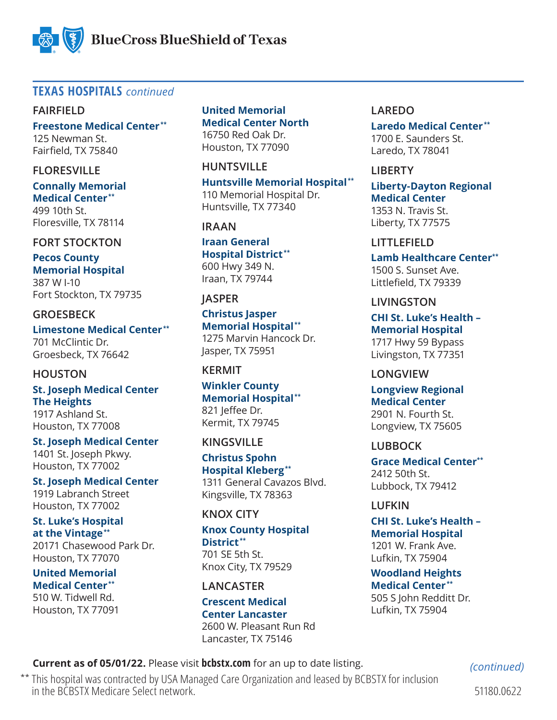

# **TEXAS HOSPITALS** *continued*

### **FAIRFIELD**

**Freestone Medical Center \*\*** 125 Newman St. Fairfield, TX 75840

### **FLORESVILLE**

**Connally Memorial Medical Center \*\*** 499 10th St. Floresville, TX 78114

# **FORT STOCKTON**

**Pecos County Memorial Hospital** 387 W I-10 Fort Stockton, TX 79735

### **GROESBECK**

**Limestone Medical Center \*\*** 701 McClintic Dr. Groesbeck, TX 76642

### **HOUSTON**

**St. Joseph Medical Center The Heights** 1917 Ashland St. Houston, TX 77008

**St. Joseph Medical Center** 1401 St. Joseph Pkwy. Houston, TX 77002

**St. Joseph Medical Center** 1919 Labranch Street Houston, TX 77002

# **St. Luke's Hospital at the Vintage \*\***

20171 Chasewood Park Dr. Houston, TX 77070

**United Memorial Medical Center \*\*** 510 W. Tidwell Rd. Houston, TX 77091 **United Memorial Medical Center North** 16750 Red Oak Dr. Houston, TX 77090

### **HUNTSVILLE**

**Huntsville Memorial Hospital \*\*** 110 Memorial Hospital Dr. Huntsville, TX 77340

# **IRAAN**

**Iraan General Hospital District \*\*** 600 Hwy 349 N. Iraan, TX 79744

### **JASPER**

**Christus Jasper Memorial Hospital \*\*** 1275 Marvin Hancock Dr. Jasper, TX 75951

# **KERMIT**

**Winkler County Memorial Hospital \*\*** 821 leffee Dr. Kermit, TX 79745

### **KINGSVILLE**

**Christus Spohn Hospital Kleberg \*\*** 1311 General Cavazos Blvd. Kingsville, TX 78363

# **KNOX CITY**

# **Knox County Hospital District \*\***

701 SE 5th St. Knox City, TX 79529

### **LANCASTER**

**Crescent Medical Center Lancaster** 2600 W. Pleasant Run Rd Lancaster, TX 75146

### **LAREDO**

**Laredo Medical Center \*\*** 1700 E. Saunders St. Laredo, TX 78041

### **LIBERTY**

**Liberty-Dayton Regional Medical Center** 1353 N. Travis St. Liberty, TX 77575

# **LITTLEFIELD**

**Lamb Healthcare Center\*\*** 1500 S. Sunset Ave. Littlefield, TX 79339

### **LIVINGSTON**

**CHI St. Luke's Health – Memorial Hospital** 1717 Hwy 59 Bypass Livingston, TX 77351

### **LONGVIEW**

**Longview Regional Medical Center** 2901 N. Fourth St. Longview, TX 75605

# **LUBBOCK**

**Grace Medical Center\*\*** 2412 50th St. Lubbock, TX 79412

# **LUFKIN**

**CHI St. Luke's Health – Memorial Hospital** 1201 W. Frank Ave. Lufkin, TX 75904

**Woodland Heights Medical Center \*\*** 505 S John Redditt Dr. Lufkin, TX 75904

# **Current as of 05/01/22.** Please visit **bcbstx.com** for an up to date listing.

\*\* This hospital was contracted by USA Managed Care Organization and leased by BCBSTX for inclusion in the BCBSTX Medicare Select network.

*(continued)*

51180.0622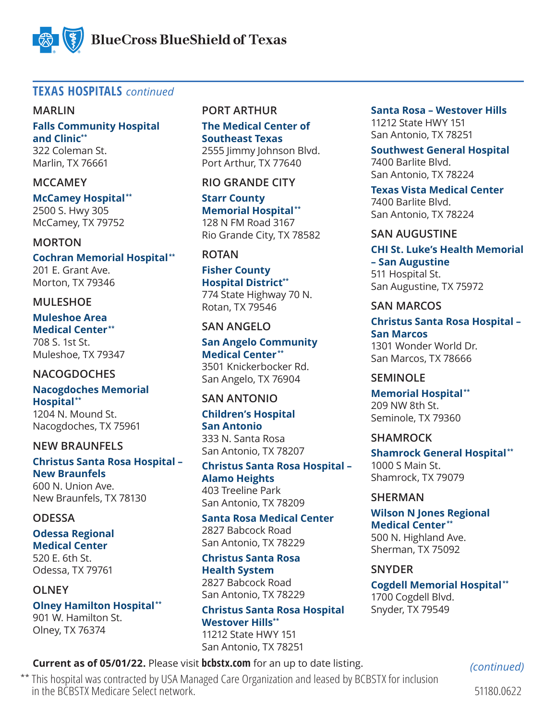

# **TEXAS HOSPITALS** *continued*

### **MARLIN**

**Falls Community Hospital and Clinic\*\*** 322 Coleman St.

Marlin, TX 76661

### **MCCAMEY**

**McCamey Hospital \*\*** 2500 S. Hwy 305 McCamey, TX 79752

### **MORTON**

**Cochran Memorial Hospital \*\*** 201 E. Grant Ave. Morton, TX 79346

### **MULESHOE**

**Muleshoe Area Medical Center \*\*** 708 S. 1st St. Muleshoe, TX 79347

### **NACOGDOCHES**

**Nacogdoches Memorial Hospital \*\*** 1204 N. Mound St.

Nacogdoches, TX 75961

### **NEW BRAUNFELS**

**Christus Santa Rosa Hospital – New Braunfels**

600 N. Union Ave. New Braunfels, TX 78130

### **ODESSA**

**Odessa Regional Medical Center**  520 E. 6th St. Odessa, TX 79761

**OLNEY Olney Hamilton Hospital \*\*** 901 W. Hamilton St. Olney, TX 76374

### **PORT ARTHUR**

**The Medical Center of Southeast Texas** 2555 Jimmy Johnson Blvd. Port Arthur, TX 77640

**RIO GRANDE CITY**

**Starr County Memorial Hospital \*\*** 128 N FM Road 3167 Rio Grande City, TX 78582

# **ROTAN**

**Fisher County Hospital District\*\*** 774 State Highway 70 N. Rotan, TX 79546

### **SAN ANGELO**

**San Angelo Community Medical Center \*\*** 3501 Knickerbocker Rd. San Angelo, TX 76904

### **SAN ANTONIO**

**Children's Hospital San Antonio** 333 N. Santa Rosa San Antonio, TX 78207

**Christus Santa Rosa Hospital – Alamo Heights** 403 Treeline Park San Antonio, TX 78209

**Santa Rosa Medical Center** 2827 Babcock Road San Antonio, TX 78229

**Christus Santa Rosa Health System** 2827 Babcock Road San Antonio, TX 78229

**Christus Santa Rosa Hospital Westover Hills\*\*** 11212 State HWY 151 San Antonio, TX 78251

**Santa Rosa – Westover Hills** 11212 State HWY 151 San Antonio, TX 78251

**Southwest General Hospital**  7400 Barlite Blvd. San Antonio, TX 78224

**Texas Vista Medical Center**  7400 Barlite Blvd. San Antonio, TX 78224

### **SAN AUGUSTINE**

#### **CHI St. Luke's Health Memorial – San Augustine**

511 Hospital St. San Augustine, TX 75972

### **SAN MARCOS**

**Christus Santa Rosa Hospital – San Marcos** 1301 Wonder World Dr. San Marcos, TX 78666

### **SEMINOLE**

**Memorial Hospital \*\*** 209 NW 8th St. Seminole, TX 79360

### **SHAMROCK**

**Shamrock General Hospital \*\*** 1000 S Main St. Shamrock, TX 79079

### **SHERMAN**

**Wilson N Jones Regional Medical Center \*\*** 500 N. Highland Ave. Sherman, TX 75092

# **SNYDER**

**Cogdell Memorial Hospital \*\*** 1700 Cogdell Blvd. Snyder, TX 79549

**Current as of 05/01/22.** Please visit **bcbstx.com** for an up to date listing.

\*\* This hospital was contracted by USA Managed Care Organization and leased by BCBSTX for inclusion in the BCBSTX Medicare Select network.

*(continued)*

51180.0622